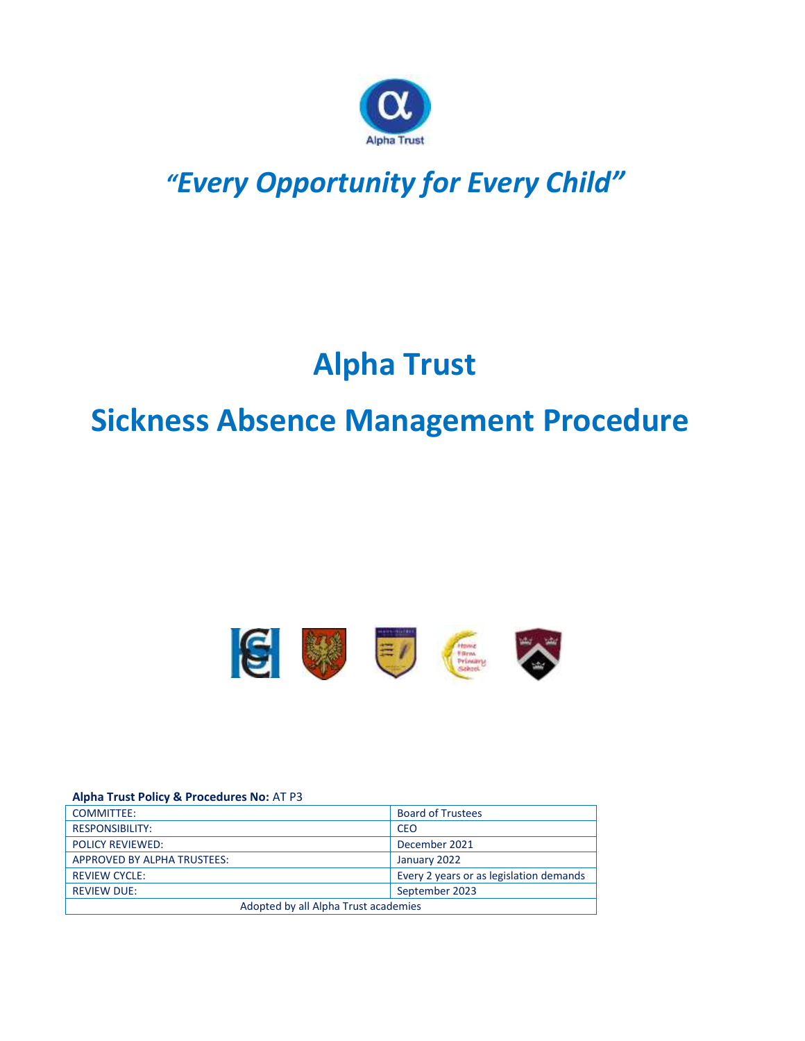

# *"Every Opportunity for Every Child"*

# **Alpha Trust**

# **Sickness Absence Management Procedure**



#### **Alpha Trust Policy & Procedures No:** AT P3

| <b>COMMITTEE:</b>                    | <b>Board of Trustees</b>                |  |
|--------------------------------------|-----------------------------------------|--|
| <b>RESPONSIBILITY:</b>               | <b>CEO</b>                              |  |
| <b>POLICY REVIEWED:</b>              | December 2021                           |  |
| APPROVED BY ALPHA TRUSTEES:          | January 2022                            |  |
| <b>REVIEW CYCLE:</b>                 | Every 2 years or as legislation demands |  |
| <b>REVIEW DUE:</b>                   | September 2023                          |  |
| Adopted by all Alpha Trust academies |                                         |  |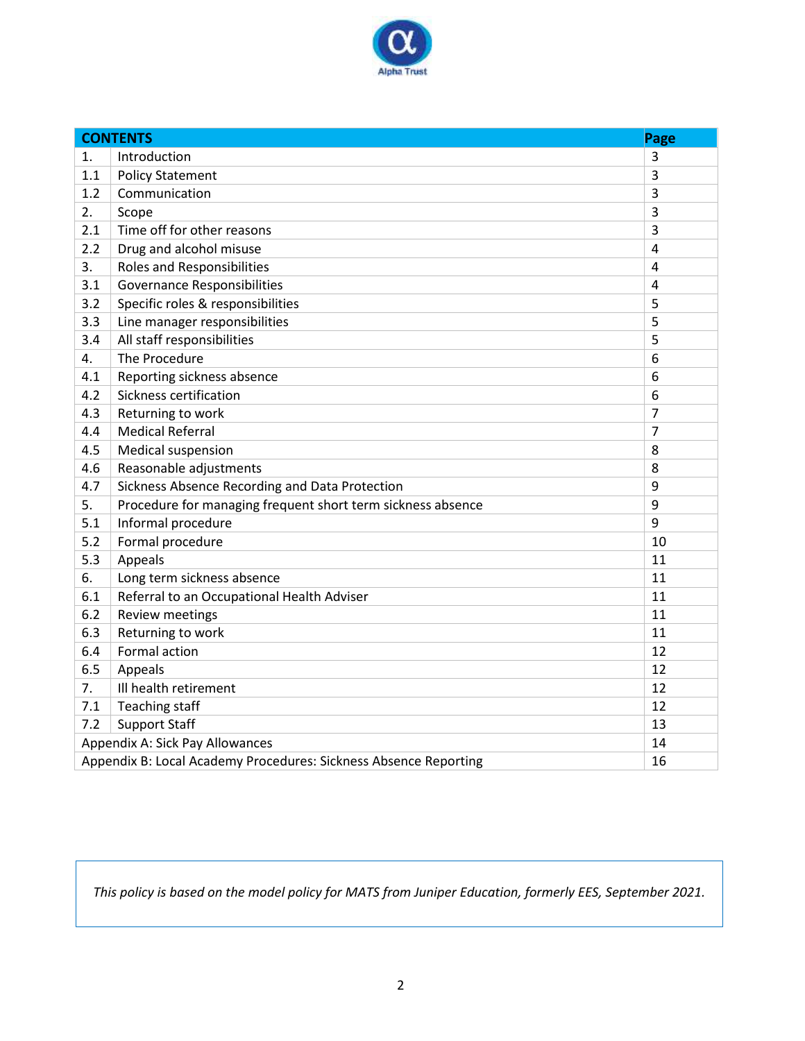

|                                                                        | <b>CONTENTS</b>                                             | Page           |
|------------------------------------------------------------------------|-------------------------------------------------------------|----------------|
| 1.                                                                     | Introduction                                                | $\overline{3}$ |
| 1.1                                                                    | <b>Policy Statement</b>                                     | 3              |
| 1.2                                                                    | Communication                                               | $\overline{3}$ |
| 2.                                                                     | Scope                                                       | $\overline{3}$ |
| 2.1                                                                    | Time off for other reasons                                  | $\overline{3}$ |
| 2.2                                                                    | Drug and alcohol misuse                                     | 4              |
| 3.                                                                     | <b>Roles and Responsibilities</b>                           | $\overline{4}$ |
| 3.1                                                                    | <b>Governance Responsibilities</b>                          | $\overline{4}$ |
| 3.2                                                                    | Specific roles & responsibilities                           | 5              |
| 3.3                                                                    | Line manager responsibilities                               | 5              |
| 3.4                                                                    | All staff responsibilities                                  | 5              |
| 4.                                                                     | The Procedure                                               | 6              |
| 4.1                                                                    | Reporting sickness absence                                  | 6              |
| 4.2                                                                    | Sickness certification                                      | 6              |
| 4.3                                                                    | Returning to work                                           | $\overline{7}$ |
| 4.4                                                                    | <b>Medical Referral</b>                                     | $\overline{7}$ |
| 4.5                                                                    | Medical suspension                                          | 8              |
| 4.6                                                                    | Reasonable adjustments                                      | 8              |
| 4.7                                                                    | Sickness Absence Recording and Data Protection              | 9              |
| 5.                                                                     | Procedure for managing frequent short term sickness absence | 9              |
| 5.1                                                                    | Informal procedure                                          | 9              |
| 5.2                                                                    | Formal procedure                                            | 10             |
| 5.3                                                                    | Appeals                                                     | 11             |
| 6.                                                                     | Long term sickness absence                                  | 11             |
| 6.1                                                                    | Referral to an Occupational Health Adviser                  | 11             |
| 6.2                                                                    | Review meetings                                             | 11             |
| 6.3                                                                    | Returning to work                                           | 11             |
| 6.4                                                                    | Formal action                                               | 12             |
| 6.5                                                                    | Appeals                                                     | 12             |
| 7.                                                                     | Ill health retirement                                       | 12             |
| 7.1                                                                    | <b>Teaching staff</b>                                       | 12             |
| 7.2                                                                    | <b>Support Staff</b>                                        | 13             |
| Appendix A: Sick Pay Allowances<br>14                                  |                                                             |                |
| Appendix B: Local Academy Procedures: Sickness Absence Reporting<br>16 |                                                             |                |

*This policy is based on the model policy for MATS from Juniper Education, formerly EES, September 2021.*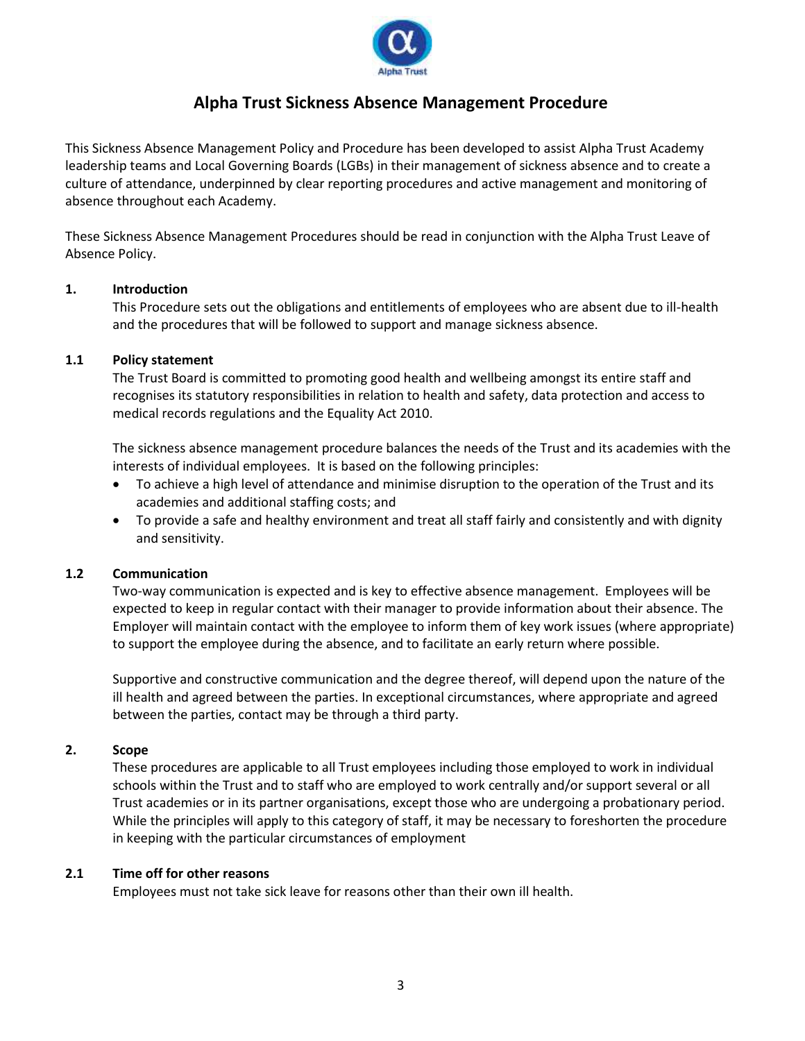

# **Alpha Trust Sickness Absence Management Procedure**

This Sickness Absence Management Policy and Procedure has been developed to assist Alpha Trust Academy leadership teams and Local Governing Boards (LGBs) in their management of sickness absence and to create a culture of attendance, underpinned by clear reporting procedures and active management and monitoring of absence throughout each Academy.

These Sickness Absence Management Procedures should be read in conjunction with the Alpha Trust Leave of Absence Policy.

# **1. Introduction**

This Procedure sets out the obligations and entitlements of employees who are absent due to ill-health and the procedures that will be followed to support and manage sickness absence.

#### **1.1 Policy statement**

The Trust Board is committed to promoting good health and wellbeing amongst its entire staff and recognises its statutory responsibilities in relation to health and safety, data protection and access to medical records regulations and the Equality Act 2010.

The sickness absence management procedure balances the needs of the Trust and its academies with the interests of individual employees. It is based on the following principles:

- To achieve a high level of attendance and minimise disruption to the operation of the Trust and its academies and additional staffing costs; and
- To provide a safe and healthy environment and treat all staff fairly and consistently and with dignity and sensitivity.

#### **1.2 Communication**

Two-way communication is expected and is key to effective absence management. Employees will be expected to keep in regular contact with their manager to provide information about their absence. The Employer will maintain contact with the employee to inform them of key work issues (where appropriate) to support the employee during the absence, and to facilitate an early return where possible.

Supportive and constructive communication and the degree thereof, will depend upon the nature of the ill health and agreed between the parties. In exceptional circumstances, where appropriate and agreed between the parties, contact may be through a third party.

#### **2. Scope**

These procedures are applicable to all Trust employees including those employed to work in individual schools within the Trust and to staff who are employed to work centrally and/or support several or all Trust academies or in its partner organisations, except those who are undergoing a probationary period. While the principles will apply to this category of staff, it may be necessary to foreshorten the procedure in keeping with the particular circumstances of employment

#### **2.1 Time off for other reasons**

Employees must not take sick leave for reasons other than their own ill health.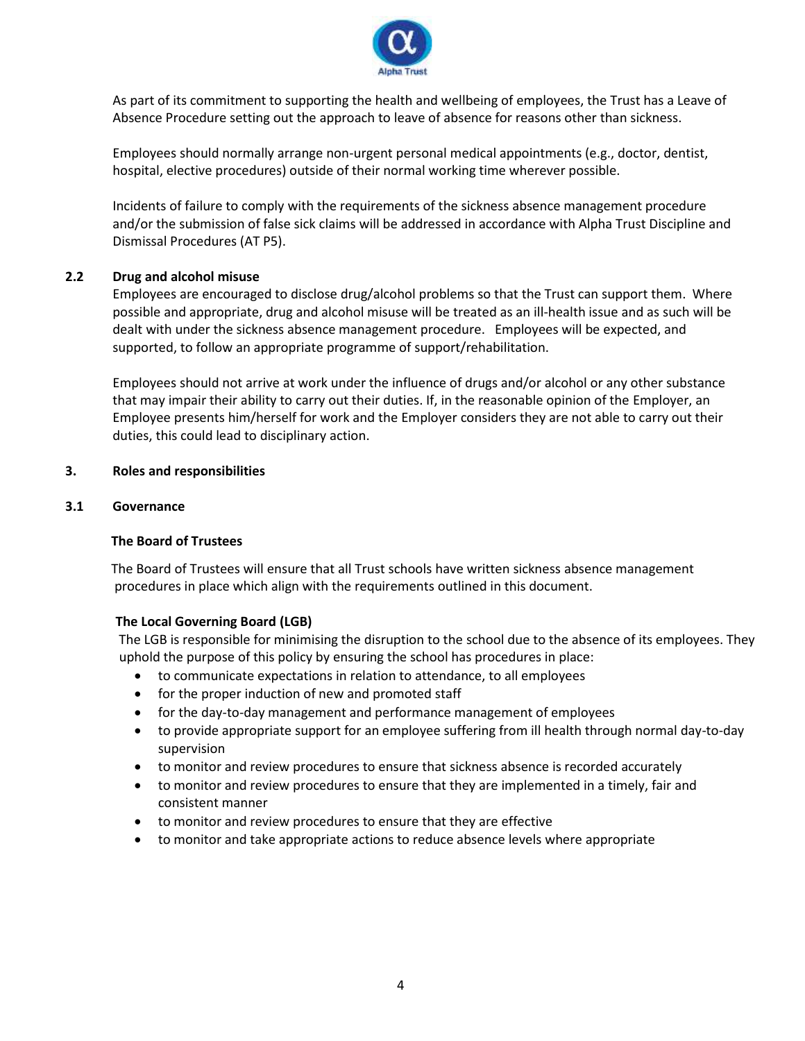

As part of its commitment to supporting the health and wellbeing of employees, the Trust has a Leave of Absence Procedure setting out the approach to leave of absence for reasons other than sickness.

Employees should normally arrange non-urgent personal medical appointments (e.g., doctor, dentist, hospital, elective procedures) outside of their normal working time wherever possible.

Incidents of failure to comply with the requirements of the sickness absence management procedure and/or the submission of false sick claims will be addressed in accordance with Alpha Trust Discipline and Dismissal Procedures (AT P5).

# **2.2 Drug and alcohol misuse**

Employees are encouraged to disclose drug/alcohol problems so that the Trust can support them. Where possible and appropriate, drug and alcohol misuse will be treated as an ill-health issue and as such will be dealt with under the sickness absence management procedure. Employees will be expected, and supported, to follow an appropriate programme of support/rehabilitation.

Employees should not arrive at work under the influence of drugs and/or alcohol or any other substance that may impair their ability to carry out their duties. If, in the reasonable opinion of the Employer, an Employee presents him/herself for work and the Employer considers they are not able to carry out their duties, this could lead to disciplinary action.

# **3. Roles and responsibilities**

# **3.1 Governance**

# **The Board of Trustees**

The Board of Trustees will ensure that all Trust schools have written sickness absence management procedures in place which align with the requirements outlined in this document.

# **The Local Governing Board (LGB)**

The LGB is responsible for minimising the disruption to the school due to the absence of its employees. They uphold the purpose of this policy by ensuring the school has procedures in place:

- to communicate expectations in relation to attendance, to all employees
- for the proper induction of new and promoted staff
- for the day-to-day management and performance management of employees
- to provide appropriate support for an employee suffering from ill health through normal day-to-day supervision
- to monitor and review procedures to ensure that sickness absence is recorded accurately
- to monitor and review procedures to ensure that they are implemented in a timely, fair and consistent manner
- to monitor and review procedures to ensure that they are effective
- to monitor and take appropriate actions to reduce absence levels where appropriate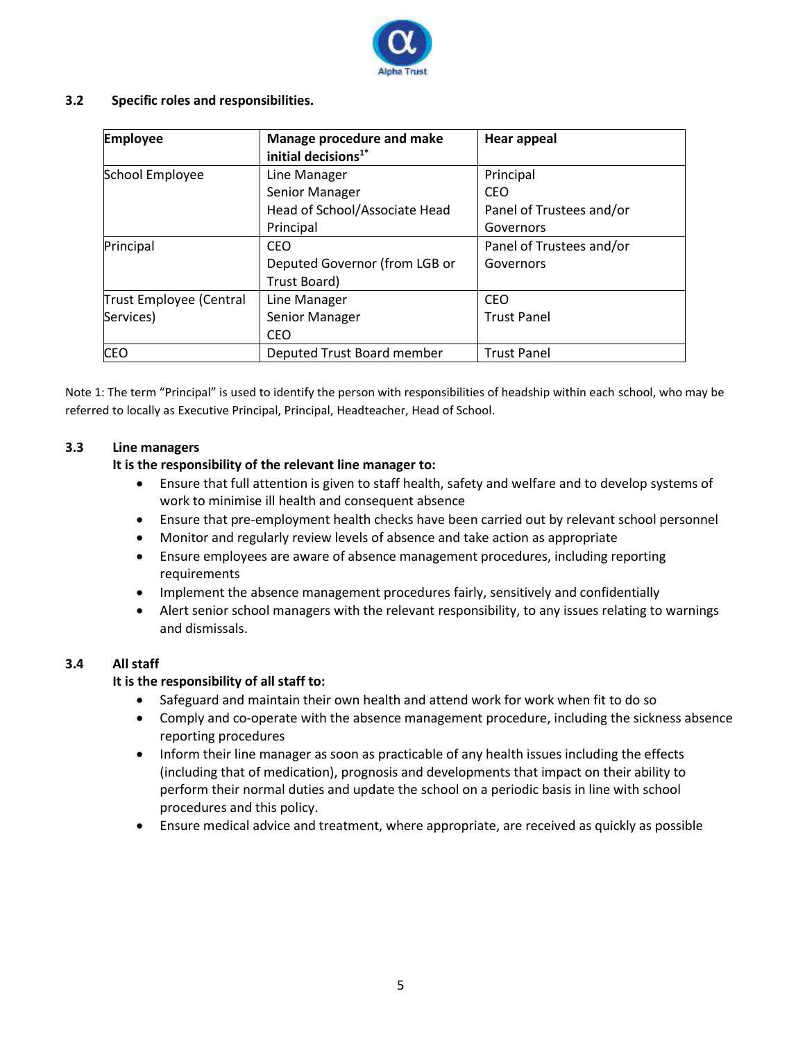

# **3.2 Specific roles and responsibilities.**

| <b>Employee</b>         | <b>Manage procedure and make</b><br>initial decisions <sup>1*</sup> | <b>Hear appeal</b>       |
|-------------------------|---------------------------------------------------------------------|--------------------------|
| School Employee         | Line Manager                                                        | Principal                |
|                         | Senior Manager                                                      | CEO                      |
|                         | Head of School/Associate Head                                       | Panel of Trustees and/or |
|                         | Principal                                                           | Governors                |
| Principal               | CEO                                                                 | Panel of Trustees and/or |
|                         | Deputed Governor (from LGB or                                       | Governors                |
|                         | Trust Board)                                                        |                          |
| Trust Employee (Central | Line Manager                                                        | <b>CEO</b>               |
| Services)               | Senior Manager                                                      | <b>Trust Panel</b>       |
|                         | CEO                                                                 |                          |
| <b>CEO</b>              | Deputed Trust Board member                                          | <b>Trust Panel</b>       |

Note 1: The term "Principal" is used to identify the person with responsibilities of headship within each school, who may be referred to locally as Executive Principal, Principal, Headteacher, Head of School.

# **3.3 Line managers**

# **It is the responsibility of the relevant line manager to:**

- Ensure that full attention is given to staff health, safety and welfare and to develop systems of work to minimise ill health and consequent absence
- Ensure that pre-employment health checks have been carried out by relevant school personnel
- Monitor and regularly review levels of absence and take action as appropriate
- Ensure employees are aware of absence management procedures, including reporting requirements
- Implement the absence management procedures fairly, sensitively and confidentially
- Alert senior school managers with the relevant responsibility, to any issues relating to warnings and dismissals.

# **3.4 All staff**

# **It is the responsibility of all staff to:**

- Safeguard and maintain their own health and attend work for work when fit to do so
- Comply and co-operate with the absence management procedure, including the sickness absence reporting procedures
- Inform their line manager as soon as practicable of any health issues including the effects (including that of medication), prognosis and developments that impact on their ability to perform their normal duties and update the school on a periodic basis in line with school procedures and this policy.
- Ensure medical advice and treatment, where appropriate, are received as quickly as possible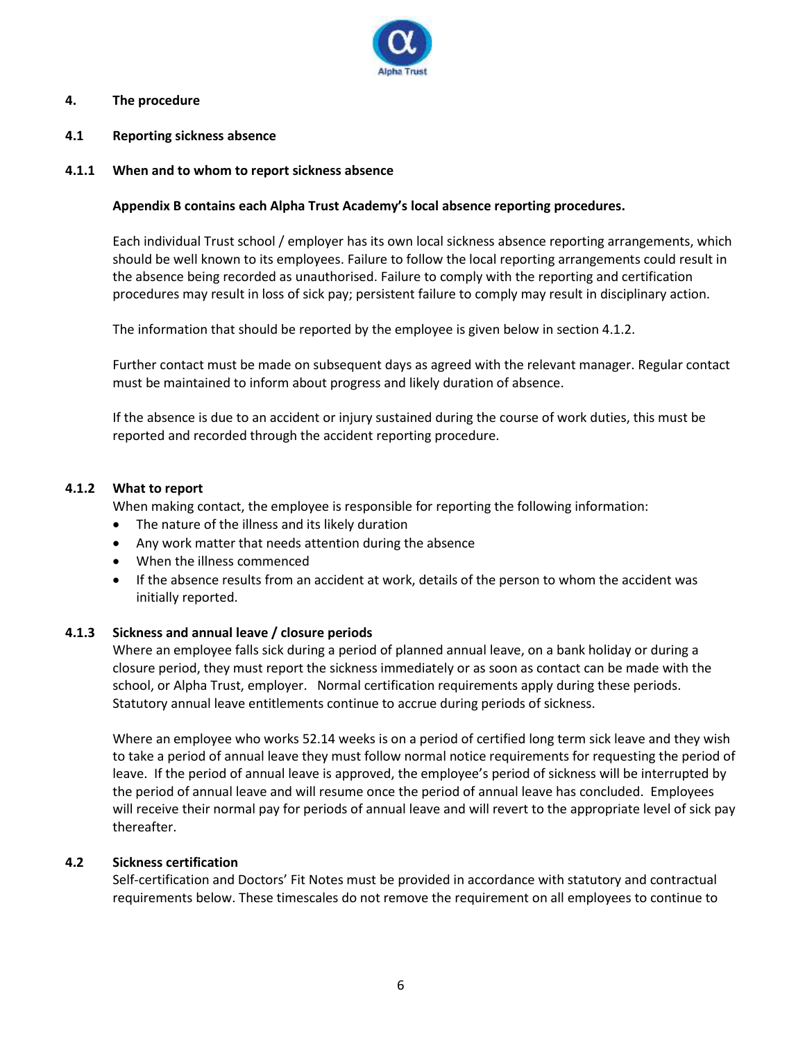

## **4. The procedure**

**4.1 Reporting sickness absence** 

#### **4.1.1 When and to whom to report sickness absence**

## **Appendix B contains each Alpha Trust Academy's local absence reporting procedures.**

Each individual Trust school / employer has its own local sickness absence reporting arrangements, which should be well known to its employees. Failure to follow the local reporting arrangements could result in the absence being recorded as unauthorised. Failure to comply with the reporting and certification procedures may result in loss of sick pay; persistent failure to comply may result in disciplinary action.

The information that should be reported by the employee is given below in section 4.1.2.

Further contact must be made on subsequent days as agreed with the relevant manager. Regular contact must be maintained to inform about progress and likely duration of absence.

If the absence is due to an accident or injury sustained during the course of work duties, this must be reported and recorded through the accident reporting procedure.

#### **4.1.2 What to report**

When making contact, the employee is responsible for reporting the following information:

- The nature of the illness and its likely duration
- Any work matter that needs attention during the absence
- When the illness commenced
- If the absence results from an accident at work, details of the person to whom the accident was initially reported.

#### **4.1.3 Sickness and annual leave / closure periods**

Where an employee falls sick during a period of planned annual leave, on a bank holiday or during a closure period, they must report the sickness immediately or as soon as contact can be made with the school, or Alpha Trust, employer. Normal certification requirements apply during these periods. Statutory annual leave entitlements continue to accrue during periods of sickness.

Where an employee who works 52.14 weeks is on a period of certified long term sick leave and they wish to take a period of annual leave they must follow normal notice requirements for requesting the period of leave. If the period of annual leave is approved, the employee's period of sickness will be interrupted by the period of annual leave and will resume once the period of annual leave has concluded. Employees will receive their normal pay for periods of annual leave and will revert to the appropriate level of sick pay thereafter.

#### **4.2 Sickness certification**

Self-certification and Doctors' Fit Notes must be provided in accordance with statutory and contractual requirements below. These timescales do not remove the requirement on all employees to continue to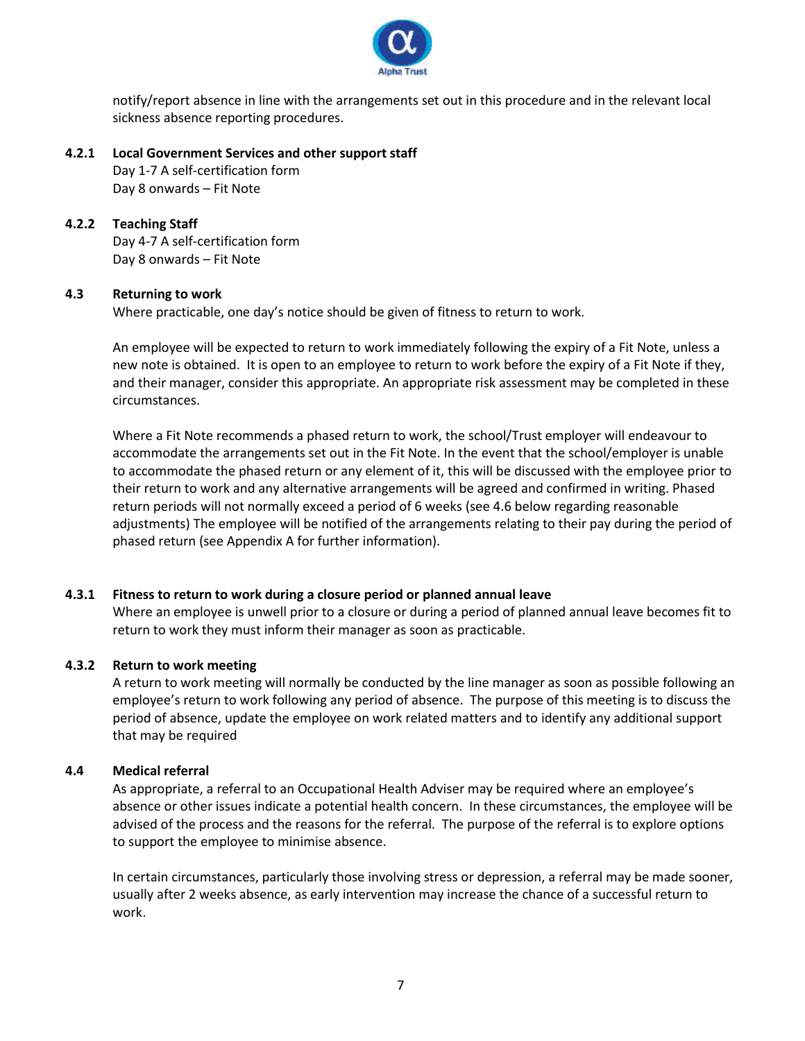

notify/report absence in line with the arrangements set out in this procedure and in the relevant local sickness absence reporting procedures.

#### **4.2.1 Local Government Services and other support staff**

Day 1-7 A self-certification form Day 8 onwards – Fit Note

# **4.2.2 Teaching Staff**

Day 4-7 A self-certification form Day 8 onwards – Fit Note

# **4.3 Returning to work**

Where practicable, one day's notice should be given of fitness to return to work.

An employee will be expected to return to work immediately following the expiry of a Fit Note, unless a new note is obtained. It is open to an employee to return to work before the expiry of a Fit Note if they, and their manager, consider this appropriate. An appropriate risk assessment may be completed in these circumstances.

Where a Fit Note recommends a phased return to work, the school/Trust employer will endeavour to accommodate the arrangements set out in the Fit Note. In the event that the school/employer is unable to accommodate the phased return or any element of it, this will be discussed with the employee prior to their return to work and any alternative arrangements will be agreed and confirmed in writing. Phased return periods will not normally exceed a period of 6 weeks (see 4.6 below regarding reasonable adjustments) The employee will be notified of the arrangements relating to their pay during the period of phased return (see Appendix A for further information).

# **4.3.1 Fitness to return to work during a closure period or planned annual leave**

Where an employee is unwell prior to a closure or during a period of planned annual leave becomes fit to return to work they must inform their manager as soon as practicable.

# **4.3.2 Return to work meeting**

A return to work meeting will normally be conducted by the line manager as soon as possible following an employee's return to work following any period of absence. The purpose of this meeting is to discuss the period of absence, update the employee on work related matters and to identify any additional support that may be required

# **4.4 Medical referral**

As appropriate, a referral to an Occupational Health Adviser may be required where an employee's absence or other issues indicate a potential health concern. In these circumstances, the employee will be advised of the process and the reasons for the referral. The purpose of the referral is to explore options to support the employee to minimise absence.

In certain circumstances, particularly those involving stress or depression, a referral may be made sooner, usually after 2 weeks absence, as early intervention may increase the chance of a successful return to work.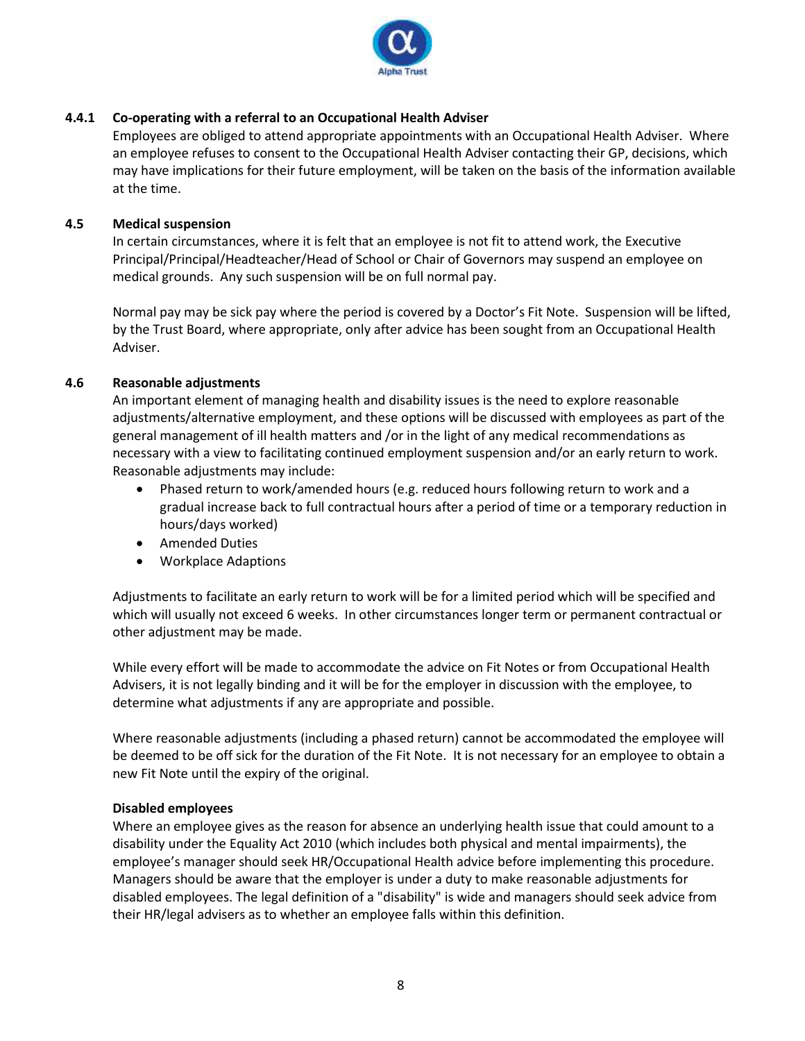

# **4.4.1 Co-operating with a referral to an Occupational Health Adviser**

Employees are obliged to attend appropriate appointments with an Occupational Health Adviser. Where an employee refuses to consent to the Occupational Health Adviser contacting their GP, decisions, which may have implications for their future employment, will be taken on the basis of the information available at the time.

# **4.5 Medical suspension**

In certain circumstances, where it is felt that an employee is not fit to attend work, the Executive Principal/Principal/Headteacher/Head of School or Chair of Governors may suspend an employee on medical grounds. Any such suspension will be on full normal pay.

Normal pay may be sick pay where the period is covered by a Doctor's Fit Note. Suspension will be lifted, by the Trust Board, where appropriate, only after advice has been sought from an Occupational Health Adviser.

# **4.6 Reasonable adjustments**

An important element of managing health and disability issues is the need to explore reasonable adjustments/alternative employment, and these options will be discussed with employees as part of the general management of ill health matters and /or in the light of any medical recommendations as necessary with a view to facilitating continued employment suspension and/or an early return to work. Reasonable adjustments may include:

- Phased return to work/amended hours (e.g. reduced hours following return to work and a gradual increase back to full contractual hours after a period of time or a temporary reduction in hours/days worked)
- Amended Duties
- Workplace Adaptions

Adjustments to facilitate an early return to work will be for a limited period which will be specified and which will usually not exceed 6 weeks. In other circumstances longer term or permanent contractual or other adjustment may be made.

While every effort will be made to accommodate the advice on Fit Notes or from Occupational Health Advisers, it is not legally binding and it will be for the employer in discussion with the employee, to determine what adjustments if any are appropriate and possible.

Where reasonable adjustments (including a phased return) cannot be accommodated the employee will be deemed to be off sick for the duration of the Fit Note. It is not necessary for an employee to obtain a new Fit Note until the expiry of the original.

# **Disabled employees**

Where an employee gives as the reason for absence an underlying health issue that could amount to a disability under the Equality Act 2010 (which includes both physical and mental impairments), the employee's manager should seek HR/Occupational Health advice before implementing this procedure. Managers should be aware that the employer is under a duty to make reasonable adjustments for disabled employees. The legal definition of a "disability" is wide and managers should seek advice from their HR/legal advisers as to whether an employee falls within this definition.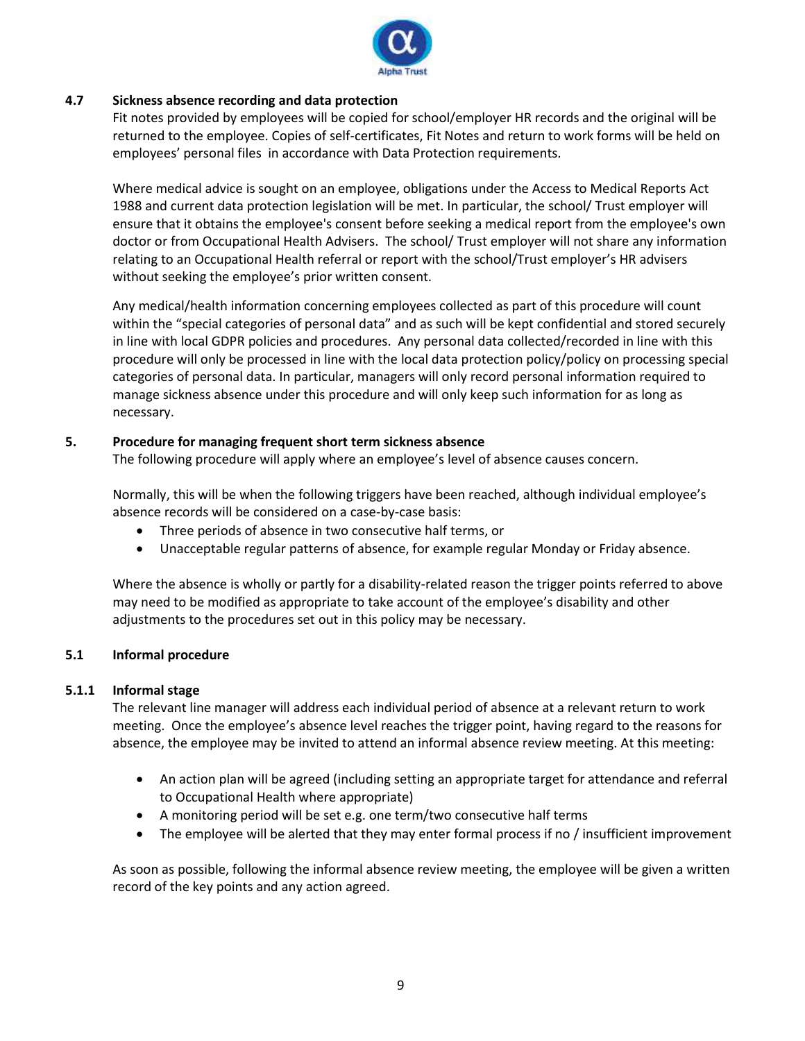

# **4.7 Sickness absence recording and data protection**

Fit notes provided by employees will be copied for school/employer HR records and the original will be returned to the employee. Copies of self-certificates, Fit Notes and return to work forms will be held on employees' personal files in accordance with Data Protection requirements.

Where medical advice is sought on an employee, obligations under the Access to Medical Reports Act 1988 and current data protection legislation will be met. In particular, the school/ Trust employer will ensure that it obtains the employee's consent before seeking a medical report from the employee's own doctor or from Occupational Health Advisers. The school/ Trust employer will not share any information relating to an Occupational Health referral or report with the school/Trust employer's HR advisers without seeking the employee's prior written consent.

Any medical/health information concerning employees collected as part of this procedure will count within the "special categories of personal data" and as such will be kept confidential and stored securely in line with local GDPR policies and procedures. Any personal data collected/recorded in line with this procedure will only be processed in line with the local data protection policy/policy on processing special categories of personal data. In particular, managers will only record personal information required to manage sickness absence under this procedure and will only keep such information for as long as necessary.

# **5. Procedure for managing frequent short term sickness absence**

The following procedure will apply where an employee's level of absence causes concern.

Normally, this will be when the following triggers have been reached, although individual employee's absence records will be considered on a case-by-case basis:

- Three periods of absence in two consecutive half terms, or
- Unacceptable regular patterns of absence, for example regular Monday or Friday absence.

Where the absence is wholly or partly for a disability-related reason the trigger points referred to above may need to be modified as appropriate to take account of the employee's disability and other adjustments to the procedures set out in this policy may be necessary.

# **5.1 Informal procedure**

# **5.1.1 Informal stage**

The relevant line manager will address each individual period of absence at a relevant return to work meeting. Once the employee's absence level reaches the trigger point, having regard to the reasons for absence, the employee may be invited to attend an informal absence review meeting. At this meeting:

- An action plan will be agreed (including setting an appropriate target for attendance and referral to Occupational Health where appropriate)
- A monitoring period will be set e.g. one term/two consecutive half terms
- The employee will be alerted that they may enter formal process if no / insufficient improvement

As soon as possible, following the informal absence review meeting, the employee will be given a written record of the key points and any action agreed.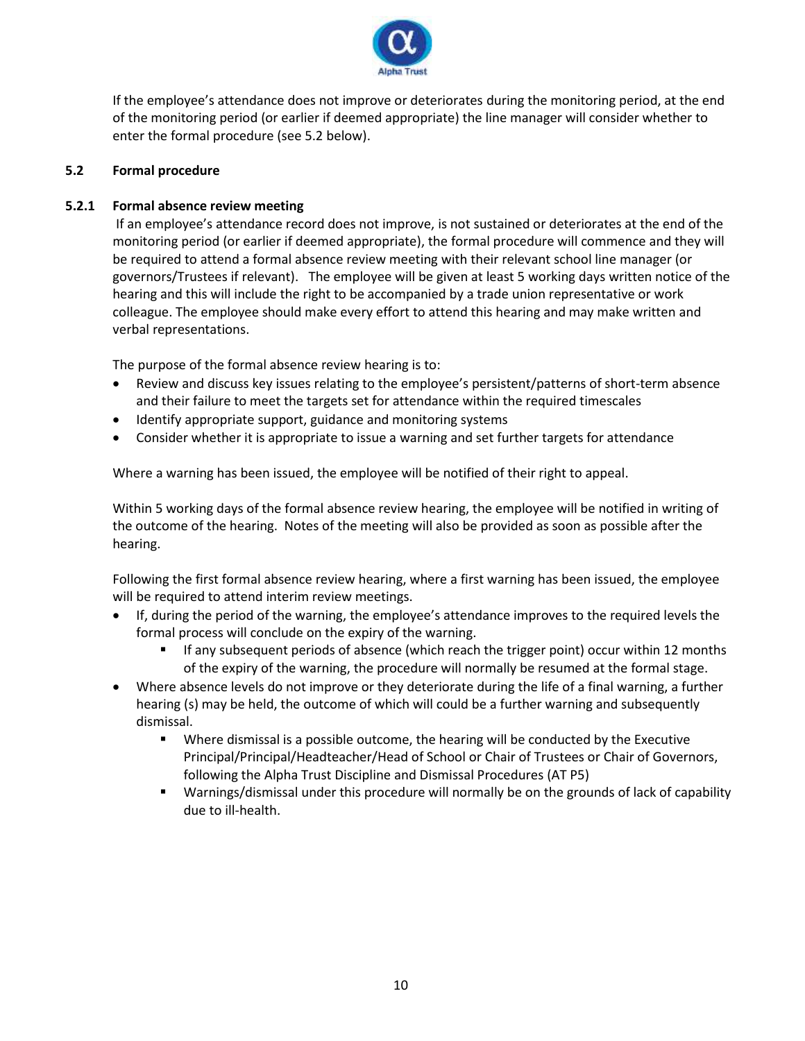

If the employee's attendance does not improve or deteriorates during the monitoring period, at the end of the monitoring period (or earlier if deemed appropriate) the line manager will consider whether to enter the formal procedure (see 5.2 below).

# **5.2 Formal procedure**

# **5.2.1 Formal absence review meeting**

If an employee's attendance record does not improve, is not sustained or deteriorates at the end of the monitoring period (or earlier if deemed appropriate), the formal procedure will commence and they will be required to attend a formal absence review meeting with their relevant school line manager (or governors/Trustees if relevant). The employee will be given at least 5 working days written notice of the hearing and this will include the right to be accompanied by a trade union representative or work colleague. The employee should make every effort to attend this hearing and may make written and verbal representations.

The purpose of the formal absence review hearing is to:

- Review and discuss key issues relating to the employee's persistent/patterns of short-term absence and their failure to meet the targets set for attendance within the required timescales
- Identify appropriate support, guidance and monitoring systems
- Consider whether it is appropriate to issue a warning and set further targets for attendance

Where a warning has been issued, the employee will be notified of their right to appeal.

Within 5 working days of the formal absence review hearing, the employee will be notified in writing of the outcome of the hearing. Notes of the meeting will also be provided as soon as possible after the hearing.

Following the first formal absence review hearing, where a first warning has been issued, the employee will be required to attend interim review meetings.

- If, during the period of the warning, the employee's attendance improves to the required levels the formal process will conclude on the expiry of the warning.
	- If any subsequent periods of absence (which reach the trigger point) occur within 12 months of the expiry of the warning, the procedure will normally be resumed at the formal stage.
- Where absence levels do not improve or they deteriorate during the life of a final warning, a further hearing (s) may be held, the outcome of which will could be a further warning and subsequently dismissal.
	- Where dismissal is a possible outcome, the hearing will be conducted by the Executive Principal/Principal/Headteacher/Head of School or Chair of Trustees or Chair of Governors, following the Alpha Trust Discipline and Dismissal Procedures (AT P5)
	- Warnings/dismissal under this procedure will normally be on the grounds of lack of capability due to ill-health.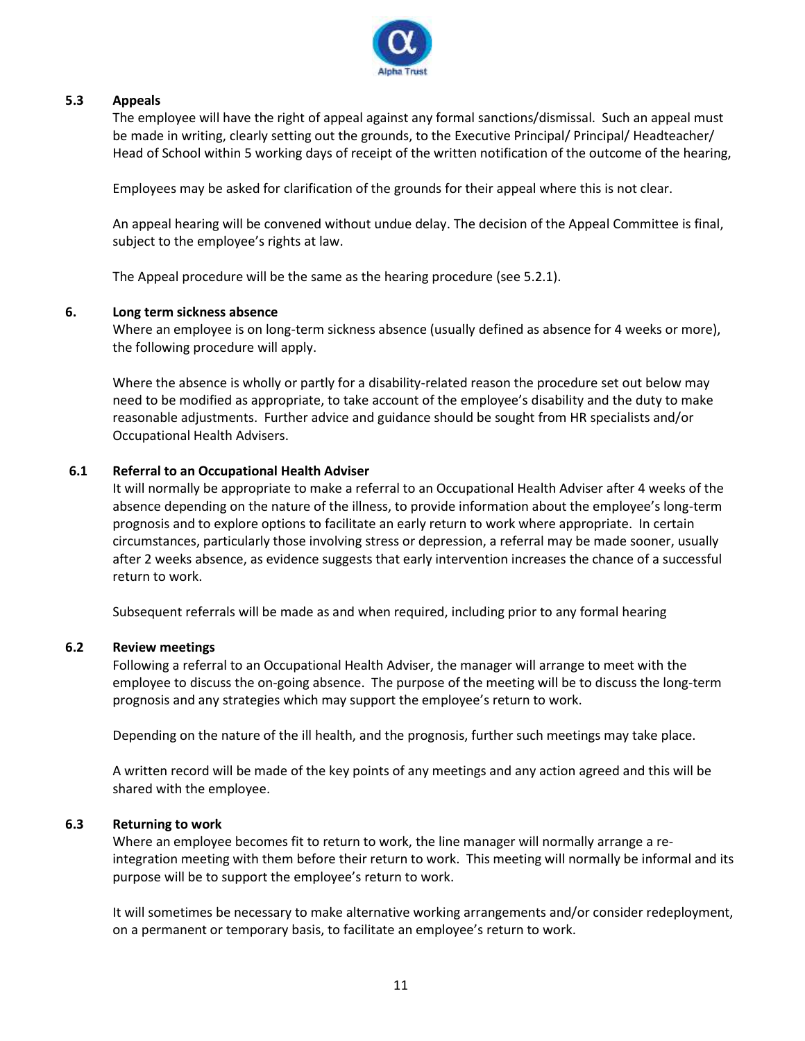

# **5.3 Appeals**

The employee will have the right of appeal against any formal sanctions/dismissal. Such an appeal must be made in writing, clearly setting out the grounds, to the Executive Principal/ Principal/ Headteacher/ Head of School within 5 working days of receipt of the written notification of the outcome of the hearing,

Employees may be asked for clarification of the grounds for their appeal where this is not clear.

An appeal hearing will be convened without undue delay. The decision of the Appeal Committee is final, subject to the employee's rights at law.

The Appeal procedure will be the same as the hearing procedure (see 5.2.1).

# **6. Long term sickness absence**

Where an employee is on long-term sickness absence (usually defined as absence for 4 weeks or more), the following procedure will apply.

Where the absence is wholly or partly for a disability-related reason the procedure set out below may need to be modified as appropriate, to take account of the employee's disability and the duty to make reasonable adjustments. Further advice and guidance should be sought from HR specialists and/or Occupational Health Advisers.

# **6.1 Referral to an Occupational Health Adviser**

It will normally be appropriate to make a referral to an Occupational Health Adviser after 4 weeks of the absence depending on the nature of the illness, to provide information about the employee's long-term prognosis and to explore options to facilitate an early return to work where appropriate. In certain circumstances, particularly those involving stress or depression, a referral may be made sooner, usually after 2 weeks absence, as evidence suggests that early intervention increases the chance of a successful return to work.

Subsequent referrals will be made as and when required, including prior to any formal hearing

# **6.2 Review meetings**

Following a referral to an Occupational Health Adviser, the manager will arrange to meet with the employee to discuss the on-going absence. The purpose of the meeting will be to discuss the long-term prognosis and any strategies which may support the employee's return to work.

Depending on the nature of the ill health, and the prognosis, further such meetings may take place.

A written record will be made of the key points of any meetings and any action agreed and this will be shared with the employee.

# **6.3 Returning to work**

Where an employee becomes fit to return to work, the line manager will normally arrange a reintegration meeting with them before their return to work. This meeting will normally be informal and its purpose will be to support the employee's return to work.

It will sometimes be necessary to make alternative working arrangements and/or consider redeployment, on a permanent or temporary basis, to facilitate an employee's return to work.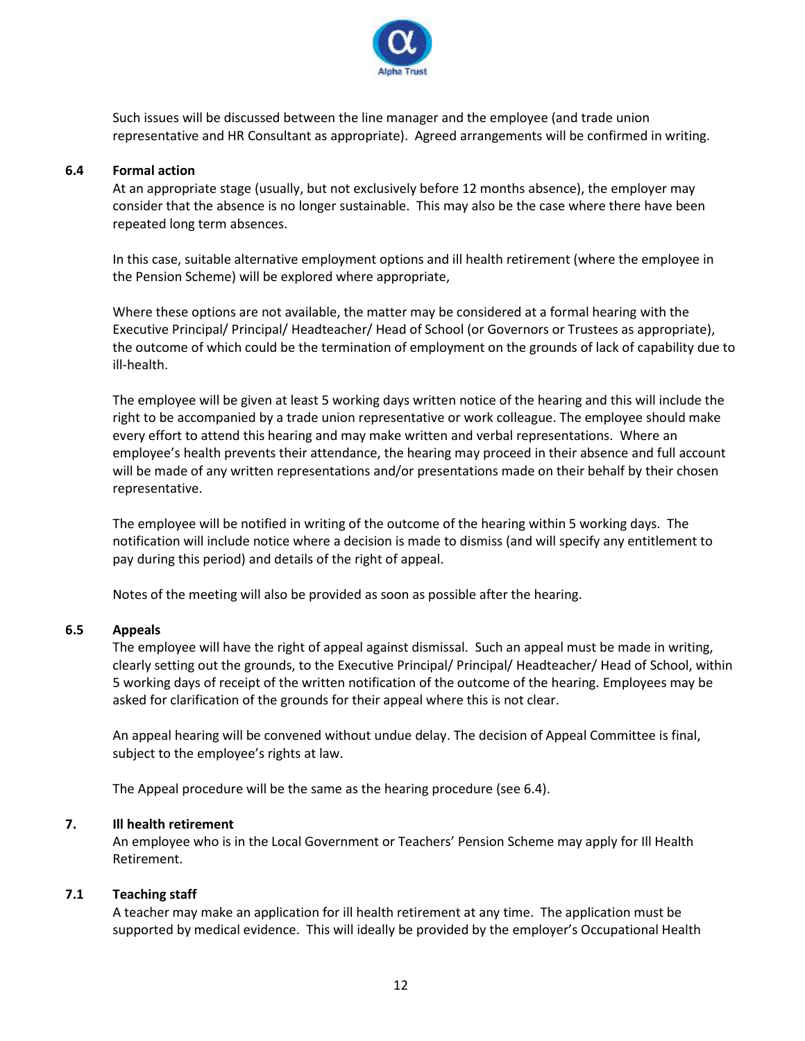

Such issues will be discussed between the line manager and the employee (and trade union representative and HR Consultant as appropriate). Agreed arrangements will be confirmed in writing.

#### **6.4 Formal action**

At an appropriate stage (usually, but not exclusively before 12 months absence), the employer may consider that the absence is no longer sustainable. This may also be the case where there have been repeated long term absences.

In this case, suitable alternative employment options and ill health retirement (where the employee in the Pension Scheme) will be explored where appropriate,

Where these options are not available, the matter may be considered at a formal hearing with the Executive Principal/ Principal/ Headteacher/ Head of School (or Governors or Trustees as appropriate), the outcome of which could be the termination of employment on the grounds of lack of capability due to ill-health.

The employee will be given at least 5 working days written notice of the hearing and this will include the right to be accompanied by a trade union representative or work colleague. The employee should make every effort to attend this hearing and may make written and verbal representations. Where an employee's health prevents their attendance, the hearing may proceed in their absence and full account will be made of any written representations and/or presentations made on their behalf by their chosen representative.

The employee will be notified in writing of the outcome of the hearing within 5 working days. The notification will include notice where a decision is made to dismiss (and will specify any entitlement to pay during this period) and details of the right of appeal.

Notes of the meeting will also be provided as soon as possible after the hearing.

#### **6.5 Appeals**

The employee will have the right of appeal against dismissal. Such an appeal must be made in writing, clearly setting out the grounds, to the Executive Principal/ Principal/ Headteacher/ Head of School, within 5 working days of receipt of the written notification of the outcome of the hearing. Employees may be asked for clarification of the grounds for their appeal where this is not clear.

An appeal hearing will be convened without undue delay. The decision of Appeal Committee is final, subject to the employee's rights at law.

The Appeal procedure will be the same as the hearing procedure (see 6.4).

# **7. Ill health retirement**

An employee who is in the Local Government or Teachers' Pension Scheme may apply for Ill Health Retirement.

#### **7.1 Teaching staff**

A teacher may make an application for ill health retirement at any time. The application must be supported by medical evidence. This will ideally be provided by the employer's Occupational Health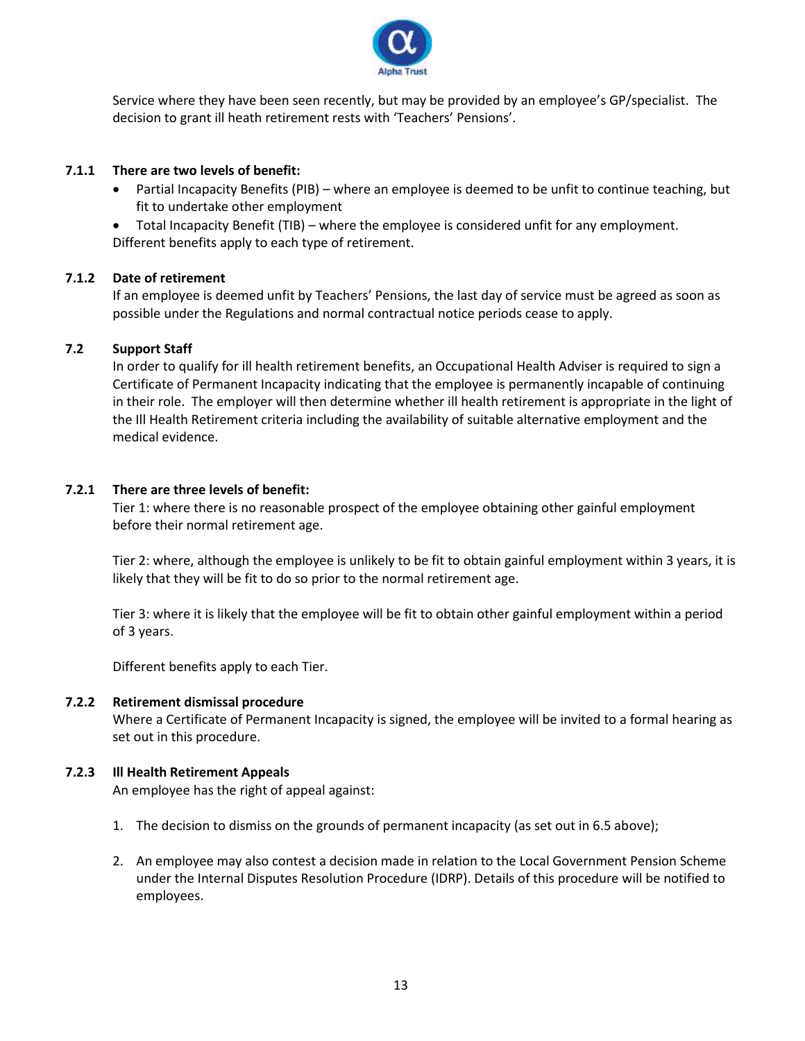

Service where they have been seen recently, but may be provided by an employee's GP/specialist. The decision to grant ill heath retirement rests with 'Teachers' Pensions'.

## **7.1.1 There are two levels of benefit:**

- Partial Incapacity Benefits (PIB) where an employee is deemed to be unfit to continue teaching, but fit to undertake other employment
- Total Incapacity Benefit (TIB) where the employee is considered unfit for any employment. Different benefits apply to each type of retirement.

# **7.1.2 Date of retirement**

If an employee is deemed unfit by Teachers' Pensions, the last day of service must be agreed as soon as possible under the Regulations and normal contractual notice periods cease to apply.

#### **7.2 Support Staff**

In order to qualify for ill health retirement benefits, an Occupational Health Adviser is required to sign a Certificate of Permanent Incapacity indicating that the employee is permanently incapable of continuing in their role. The employer will then determine whether ill health retirement is appropriate in the light of the Ill Health Retirement criteria including the availability of suitable alternative employment and the medical evidence.

#### **7.2.1 There are three levels of benefit:**

Tier 1: where there is no reasonable prospect of the employee obtaining other gainful employment before their normal retirement age.

Tier 2: where, although the employee is unlikely to be fit to obtain gainful employment within 3 years, it is likely that they will be fit to do so prior to the normal retirement age.

Tier 3: where it is likely that the employee will be fit to obtain other gainful employment within a period of 3 years.

Different benefits apply to each Tier.

#### **7.2.2 Retirement dismissal procedure**

Where a Certificate of Permanent Incapacity is signed, the employee will be invited to a formal hearing as set out in this procedure.

#### **7.2.3 Ill Health Retirement Appeals**

An employee has the right of appeal against:

- 1. The decision to dismiss on the grounds of permanent incapacity (as set out in 6.5 above);
- 2. An employee may also contest a decision made in relation to the Local Government Pension Scheme under the Internal Disputes Resolution Procedure (IDRP). Details of this procedure will be notified to employees.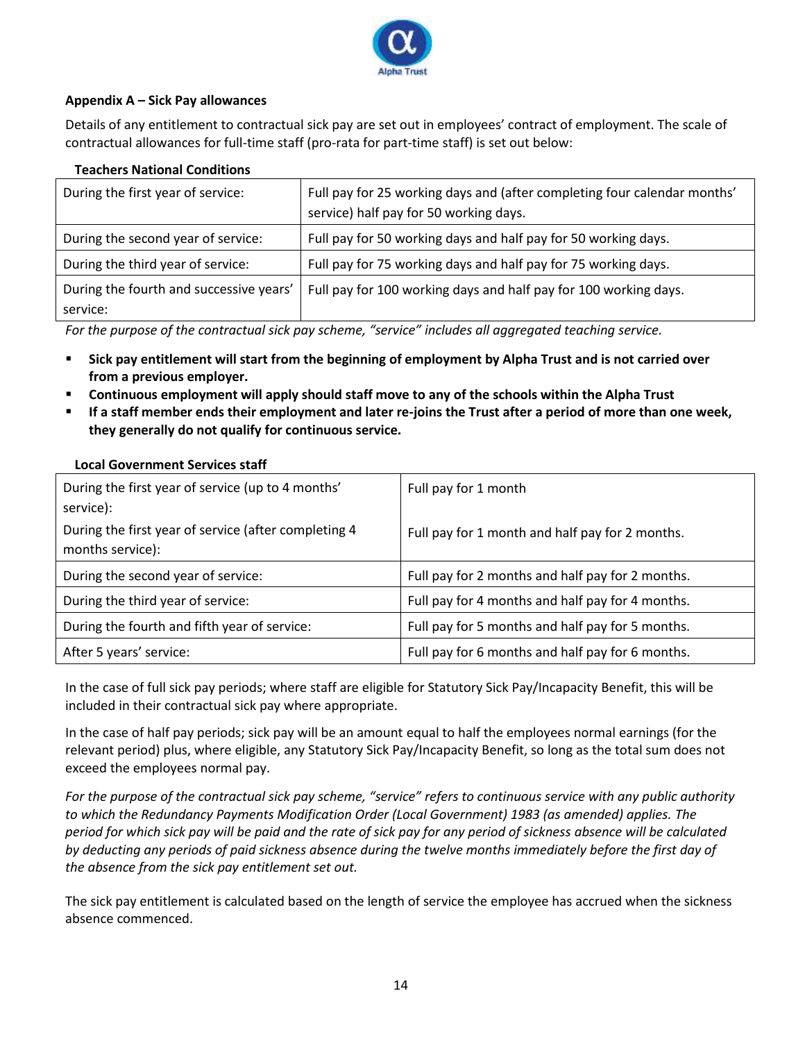

# **Appendix A – Sick Pay allowances**

Details of any entitlement to contractual sick pay are set out in employees' contract of employment. The scale of contractual allowances for full-time staff (pro-rata for part-time staff) is set out below:

# **Teachers National Conditions**

| During the first year of service:                   | Full pay for 25 working days and (after completing four calendar months'<br>service) half pay for 50 working days. |
|-----------------------------------------------------|--------------------------------------------------------------------------------------------------------------------|
| During the second year of service:                  | Full pay for 50 working days and half pay for 50 working days.                                                     |
| During the third year of service:                   | Full pay for 75 working days and half pay for 75 working days.                                                     |
| During the fourth and successive years'<br>service: | Full pay for 100 working days and half pay for 100 working days.                                                   |

*For the purpose of the contractual sick pay scheme, "service" includes all aggregated teaching service.* 

- Sick pay entitlement will start from the beginning of employment by Alpha Trust and is not carried over **from a previous employer.**
- **Continuous employment will apply should staff move to any of the schools within the Alpha Trust**
- If a staff member ends their employment and later re-joins the Trust after a period of more than one week, **they generally do not qualify for continuous service.**

| During the first year of service (up to 4 months'<br>service):           | Full pay for 1 month                             |
|--------------------------------------------------------------------------|--------------------------------------------------|
| During the first year of service (after completing 4<br>months service): | Full pay for 1 month and half pay for 2 months.  |
| During the second year of service:                                       | Full pay for 2 months and half pay for 2 months. |
| During the third year of service:                                        | Full pay for 4 months and half pay for 4 months. |
| During the fourth and fifth year of service:                             | Full pay for 5 months and half pay for 5 months. |
| After 5 years' service:                                                  | Full pay for 6 months and half pay for 6 months. |

#### **Local Government Services staff**

In the case of full sick pay periods; where staff are eligible for Statutory Sick Pay/Incapacity Benefit, this will be included in their contractual sick pay where appropriate.

In the case of half pay periods; sick pay will be an amount equal to half the employees normal earnings (for the relevant period) plus, where eligible, any Statutory Sick Pay/Incapacity Benefit, so long as the total sum does not exceed the employees normal pay.

*For the purpose of the contractual sick pay scheme, "service" refers to continuous service with any public authority to which the Redundancy Payments Modification Order (Local Government) 1983 (as amended) applies. The period for which sick pay will be paid and the rate of sick pay for any period of sickness absence will be calculated by deducting any periods of paid sickness absence during the twelve months immediately before the first day of the absence from the sick pay entitlement set out.*

The sick pay entitlement is calculated based on the length of service the employee has accrued when the sickness absence commenced.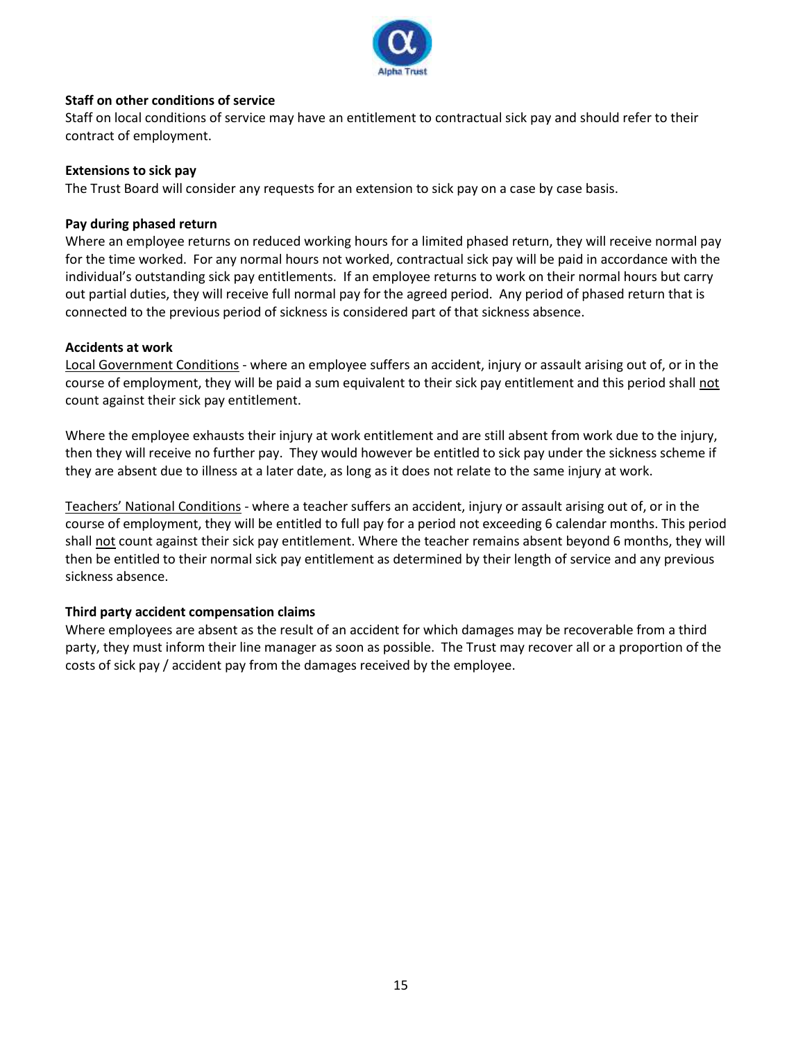

# **Staff on other conditions of service**

Staff on local conditions of service may have an entitlement to contractual sick pay and should refer to their contract of employment.

# **Extensions to sick pay**

The Trust Board will consider any requests for an extension to sick pay on a case by case basis.

# **Pay during phased return**

Where an employee returns on reduced working hours for a limited phased return, they will receive normal pay for the time worked. For any normal hours not worked, contractual sick pay will be paid in accordance with the individual's outstanding sick pay entitlements. If an employee returns to work on their normal hours but carry out partial duties, they will receive full normal pay for the agreed period. Any period of phased return that is connected to the previous period of sickness is considered part of that sickness absence.

# **Accidents at work**

Local Government Conditions - where an employee suffers an accident, injury or assault arising out of, or in the course of employment, they will be paid a sum equivalent to their sick pay entitlement and this period shall not count against their sick pay entitlement.

Where the employee exhausts their injury at work entitlement and are still absent from work due to the injury, then they will receive no further pay. They would however be entitled to sick pay under the sickness scheme if they are absent due to illness at a later date, as long as it does not relate to the same injury at work.

Teachers' National Conditions - where a teacher suffers an accident, injury or assault arising out of, or in the course of employment, they will be entitled to full pay for a period not exceeding 6 calendar months. This period shall not count against their sick pay entitlement. Where the teacher remains absent beyond 6 months, they will then be entitled to their normal sick pay entitlement as determined by their length of service and any previous sickness absence.

# **Third party accident compensation claims**

Where employees are absent as the result of an accident for which damages may be recoverable from a third party, they must inform their line manager as soon as possible. The Trust may recover all or a proportion of the costs of sick pay / accident pay from the damages received by the employee.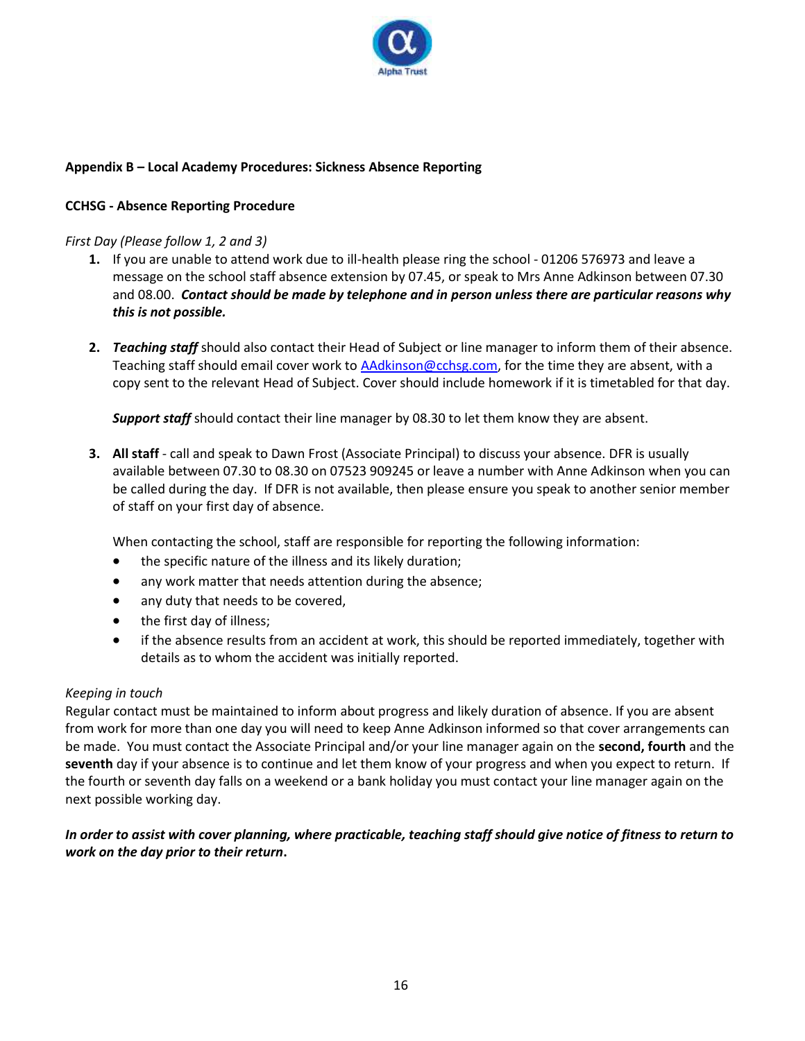

# **Appendix B – Local Academy Procedures: Sickness Absence Reporting**

# **CCHSG - Absence Reporting Procedure**

# *First Day (Please follow 1, 2 and 3)*

- **1.** If you are unable to attend work due to ill-health please ring the school 01206 576973 and leave a message on the school staff absence extension by 07.45, or speak to Mrs Anne Adkinson between 07.30 and 08.00. *Contact should be made by telephone and in person unless there are particular reasons why this is not possible.*
- **2.** *Teaching staff* should also contact their Head of Subject or line manager to inform them of their absence. Teaching staff should email cover work to AAdkinson@cchsg.com, for the time they are absent, with a copy sent to the relevant Head of Subject. Cover should include homework if it is timetabled for that day.

*Support staff* should contact their line manager by 08.30 to let them know they are absent.

**3. All staff** - call and speak to Dawn Frost (Associate Principal) to discuss your absence. DFR is usually available between 07.30 to 08.30 on 07523 909245 or leave a number with Anne Adkinson when you can be called during the day. If DFR is not available, then please ensure you speak to another senior member of staff on your first day of absence.

When contacting the school, staff are responsible for reporting the following information:

- the specific nature of the illness and its likely duration;
- any work matter that needs attention during the absence;
- any duty that needs to be covered,
- the first day of illness;
- if the absence results from an accident at work, this should be reported immediately, together with details as to whom the accident was initially reported.

# *Keeping in touch*

Regular contact must be maintained to inform about progress and likely duration of absence. If you are absent from work for more than one day you will need to keep Anne Adkinson informed so that cover arrangements can be made. You must contact the Associate Principal and/or your line manager again on the **second, fourth** and the **seventh** day if your absence is to continue and let them know of your progress and when you expect to return. If the fourth or seventh day falls on a weekend or a bank holiday you must contact your line manager again on the next possible working day.

# *In order to assist with cover planning, where practicable, teaching staff should give notice of fitness to return to work on the day prior to their return***.**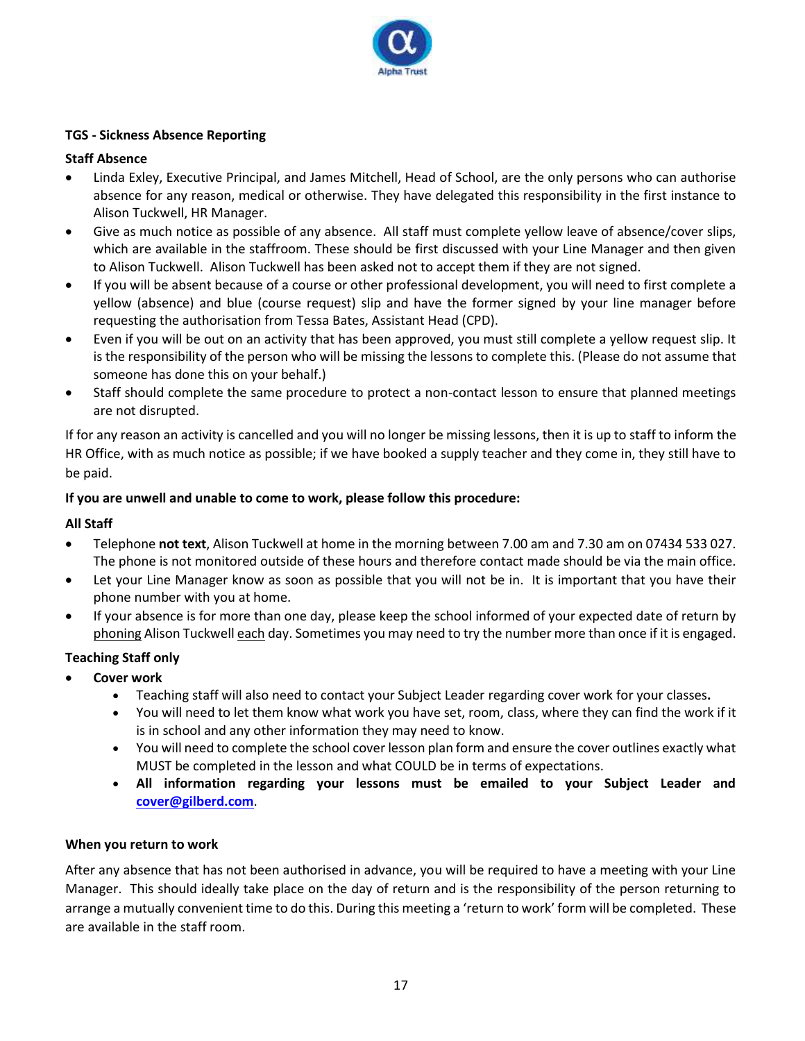

# **TGS - Sickness Absence Reporting**

# **Staff Absence**

- Linda Exley, Executive Principal, and James Mitchell, Head of School, are the only persons who can authorise absence for any reason, medical or otherwise. They have delegated this responsibility in the first instance to Alison Tuckwell, HR Manager.
- Give as much notice as possible of any absence. All staff must complete yellow leave of absence/cover slips, which are available in the staffroom. These should be first discussed with your Line Manager and then given to Alison Tuckwell. Alison Tuckwell has been asked not to accept them if they are not signed.
- If you will be absent because of a course or other professional development, you will need to first complete a yellow (absence) and blue (course request) slip and have the former signed by your line manager before requesting the authorisation from Tessa Bates, Assistant Head (CPD).
- Even if you will be out on an activity that has been approved, you must still complete a yellow request slip. It is the responsibility of the person who will be missing the lessons to complete this. (Please do not assume that someone has done this on your behalf.)
- Staff should complete the same procedure to protect a non-contact lesson to ensure that planned meetings are not disrupted.

If for any reason an activity is cancelled and you will no longer be missing lessons, then it is up to staff to inform the HR Office, with as much notice as possible; if we have booked a supply teacher and they come in, they still have to be paid.

# **If you are unwell and unable to come to work, please follow this procedure:**

# **All Staff**

- Telephone **not text**, Alison Tuckwell at home in the morning between 7.00 am and 7.30 am on 07434 533 027. The phone is not monitored outside of these hours and therefore contact made should be via the main office.
- Let your Line Manager know as soon as possible that you will not be in. It is important that you have their phone number with you at home.
- If your absence is for more than one day, please keep the school informed of your expected date of return by phoning Alison Tuckwell each day. Sometimes you may need to try the number more than once if it is engaged.

# **Teaching Staff only**

- **Cover work**
	- Teaching staff will also need to contact your Subject Leader regarding cover work for your classes**.**
	- You will need to let them know what work you have set, room, class, where they can find the work if it is in school and any other information they may need to know.
	- You will need to complete the school cover lesson plan form and ensure the cover outlines exactly what MUST be completed in the lesson and what COULD be in terms of expectations.
	- **All information regarding your lessons must be emailed to your Subject Leader and [cover@gilberd.com](mailto:cover@gilberd.com)**.

# **When you return to work**

After any absence that has not been authorised in advance, you will be required to have a meeting with your Line Manager. This should ideally take place on the day of return and is the responsibility of the person returning to arrange a mutually convenient time to do this. During this meeting a 'return to work' form will be completed. These are available in the staff room.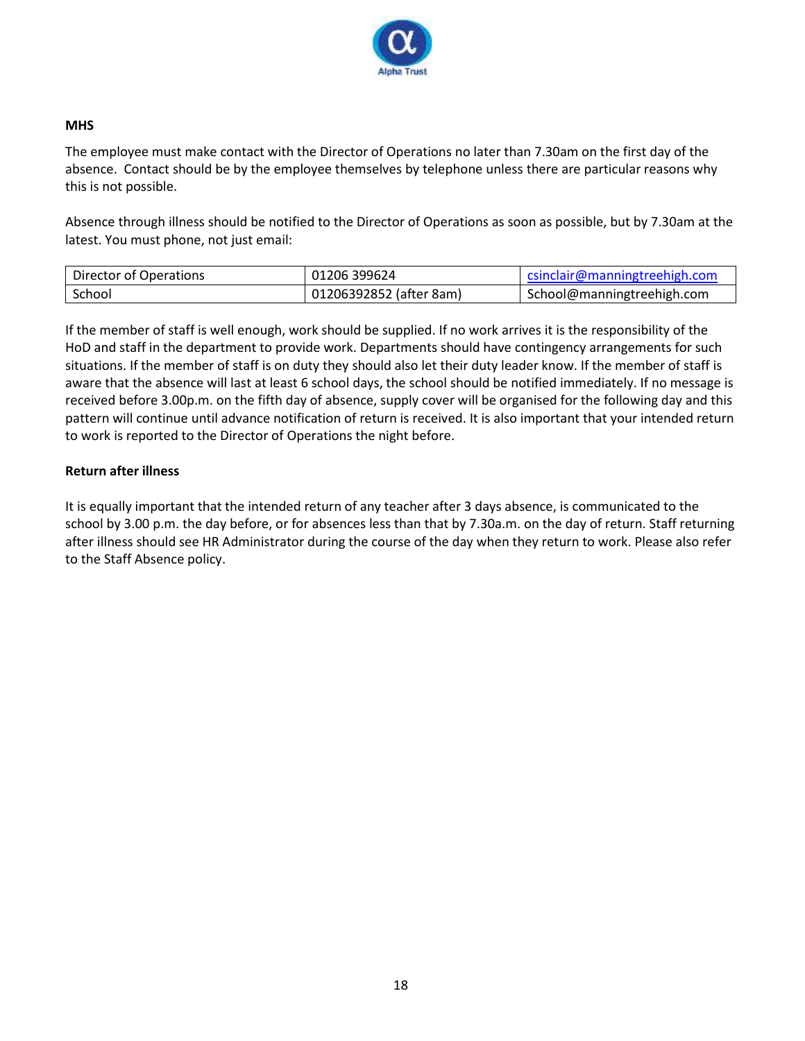

# **MHS**

The employee must make contact with the Director of Operations no later than 7.30am on the first day of the absence. Contact should be by the employee themselves by telephone unless there are particular reasons why this is not possible.

Absence through illness should be notified to the Director of Operations as soon as possible, but by 7.30am at the latest. You must phone, not just email:

| Director of Operations | 01206 399624            | csinclair@manningtreehigh.com |
|------------------------|-------------------------|-------------------------------|
| School                 | 01206392852 (after 8am) | School@manningtreehigh.com    |

If the member of staff is well enough, work should be supplied. If no work arrives it is the responsibility of the HoD and staff in the department to provide work. Departments should have contingency arrangements for such situations. If the member of staff is on duty they should also let their duty leader know. If the member of staff is aware that the absence will last at least 6 school days, the school should be notified immediately. If no message is received before 3.00p.m. on the fifth day of absence, supply cover will be organised for the following day and this pattern will continue until advance notification of return is received. It is also important that your intended return to work is reported to the Director of Operations the night before.

# **Return after illness**

It is equally important that the intended return of any teacher after 3 days absence, is communicated to the school by 3.00 p.m. the day before, or for absences less than that by 7.30a.m. on the day of return. Staff returning after illness should see HR Administrator during the course of the day when they return to work. Please also refer to the Staff Absence policy.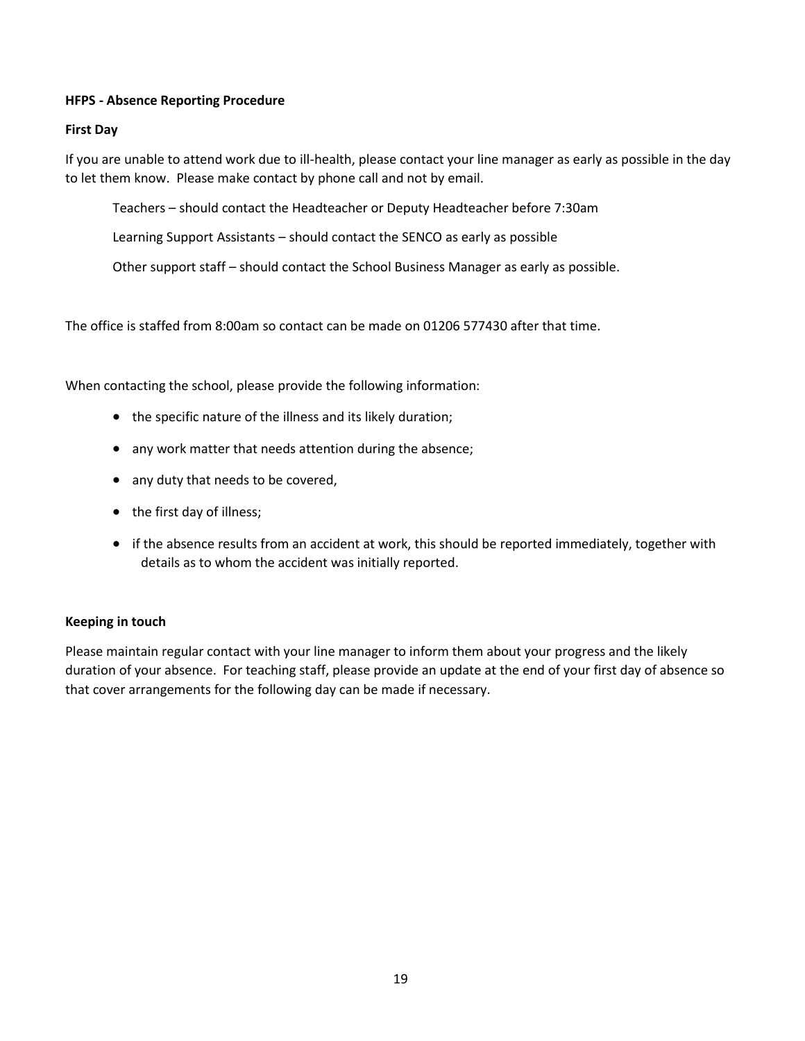# **HFPS - Absence Reporting Procedure**

#### **First Day**

If you are unable to attend work due to ill-health, please contact your line manager as early as possible in the day to let them know. Please make contact by phone call and not by email.

Teachers – should contact the Headteacher or Deputy Headteacher before 7:30am

Learning Support Assistants – should contact the SENCO as early as possible

Other support staff – should contact the School Business Manager as early as possible.

The office is staffed from 8:00am so contact can be made on 01206 577430 after that time.

When contacting the school, please provide the following information:

- the specific nature of the illness and its likely duration;
- any work matter that needs attention during the absence;
- any duty that needs to be covered,
- the first day of illness;
- if the absence results from an accident at work, this should be reported immediately, together with details as to whom the accident was initially reported.

# **Keeping in touch**

Please maintain regular contact with your line manager to inform them about your progress and the likely duration of your absence. For teaching staff, please provide an update at the end of your first day of absence so that cover arrangements for the following day can be made if necessary.